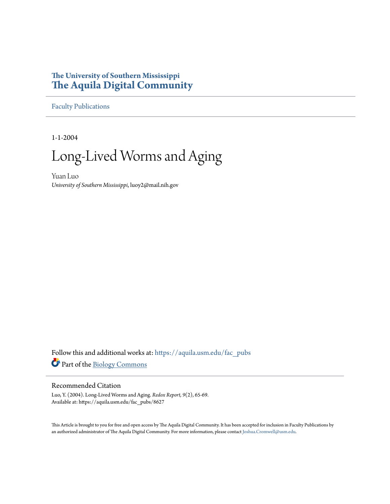# **The University of Southern Mississippi [The Aquila Digital Community](https://aquila.usm.edu?utm_source=aquila.usm.edu%2Ffac_pubs%2F8627&utm_medium=PDF&utm_campaign=PDFCoverPages)**

[Faculty Publications](https://aquila.usm.edu/fac_pubs?utm_source=aquila.usm.edu%2Ffac_pubs%2F8627&utm_medium=PDF&utm_campaign=PDFCoverPages)

1-1-2004

# Long-Lived Worms and Aging

Yuan Luo *University of Southern Mississippi*, luoy2@mail.nih.gov

Follow this and additional works at: [https://aquila.usm.edu/fac\\_pubs](https://aquila.usm.edu/fac_pubs?utm_source=aquila.usm.edu%2Ffac_pubs%2F8627&utm_medium=PDF&utm_campaign=PDFCoverPages) Part of the [Biology Commons](http://network.bepress.com/hgg/discipline/41?utm_source=aquila.usm.edu%2Ffac_pubs%2F8627&utm_medium=PDF&utm_campaign=PDFCoverPages)

# Recommended Citation

Luo, Y. (2004). Long-Lived Worms and Aging. *Redox Report, 9*(2), 65-69. Available at: https://aquila.usm.edu/fac\_pubs/8627

This Article is brought to you for free and open access by The Aquila Digital Community. It has been accepted for inclusion in Faculty Publications by an authorized administrator of The Aquila Digital Community. For more information, please contact [Joshua.Cromwell@usm.edu](mailto:Joshua.Cromwell@usm.edu).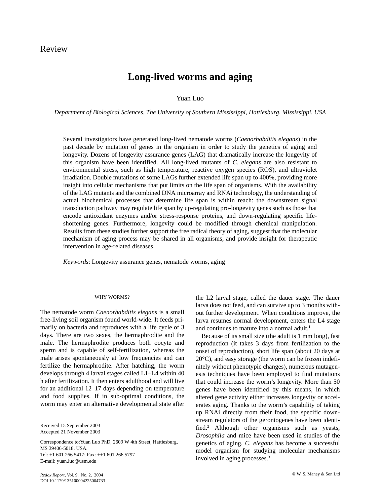# Long-lived worms and aging

# Yuan Luo

Department of Biological Sciences, The University of Southern Mississippi, Hattiesburg, Mississippi, USA

Several investigators have generated long-lived nematode worms (Caenorhabditis elegans) in the past decade by mutation of genes in the organism in order to study the genetics of aging and longevity. Dozens of longevity assurance genes (LAG) that dramatically increase the longevity of this organism have been identified. All long-lived mutants of C. elegans are also resistant to environmental stress, such as high temperature, reactive oxygen species (ROS), and ultraviolet irradiation. Double mutations of some LAGs further extended life span up to 400%, providing more insight into cellular mechanisms that put limits on the life span of organisms. With the availability of the LAG mutants and the combined DNA microarray and RNA itechnology, the understanding of actual biochemical processes that determine life span is within reach: the downstream signal transduction pathway may regulate life span by up-regulating pro-longevity genes such as those that encode antioxidant enzymes and/or stress-response proteins, and down-regulating specific lifeshortening genes. Furthermore, longevity could be modified through chemical manipulation. Results from these studies further support the free radical theory of aging, suggest that the molecular mechanism of aging process may be shared in all organisms, and provide insight for therapeutic intervention in age-related diseases.

Keywords: Longevity assurance genes, nematode worms, aging

## WHY WORMS?

The nematode worm *Caenorhabditis elegans* is a small free-living soil organism found world-wide. It feeds primarily on bacteria and reproduces with a life cycle of 3 days. There are two sexes, the hermaphrodite and the male. The hermaphrodite produces both oocyte and sperm and is capable of self-fertilization, whereas the male arises spontaneously at low frequencies and can fertilize the hermaphrodite. After hatching, the worm develops through 4 larval stages called L1-L4 within 40 h after fertilization. It then enters adulthood and will live for an additional  $12-17$  days depending on temperature and food supplies. If in sub-optimal conditions, the worm may enter an alternative developmental state after

Received 15 September 2003 Accepted 21 November 2003

Correspondence to: Yuan Luo PhD, 2609 W 4th Street, Hattiesburg, MS 39406-5018, USA. Tel: +1 601 266 5417; Fax: ++1 601 266 5797 E-mail: yuan.luo@usm.edu

onset of reproduction), short life span (about 20 days at  $20^{\circ}$ C), and easy storage (the worm can be frozen indefinitely without phenotypic changes), numerous mutagenesis techniques have been employed to find mutations that could increase the worm's longevity. More than 50 genes have been identified by this means, in which

altered gene activity either increases longevity or accelerates aging. Thanks to the worm's capability of taking up RNAi directly from their food, the specific downstream regulators of the gerontogenes have been identified.<sup>2</sup> Although other organisms such as yeasts, Drosophila and mice have been used in studies of the genetics of aging, C. elegans has become a successful model organism for studying molecular mechanisms involved in aging processes.<sup>3</sup>

the L2 larval stage, called the dauer stage. The dauer larva does not feed, and can survive up to 3 months with-

out further development. When conditions improve, the

larva resumes normal development, enters the L4 stage

Because of its small size (the adult is 1 mm long), fast

reproduction (it takes 3 days from fertilization to the

and continues to mature into a normal adult.<sup>1</sup>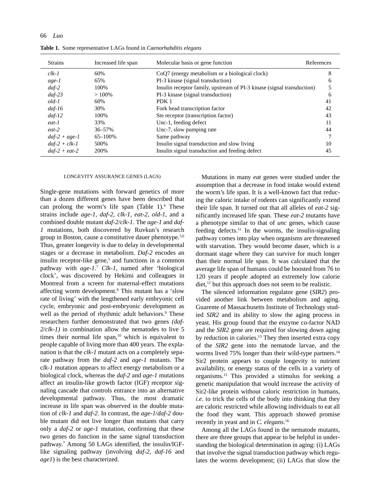66 Luo

Table 1. Some representative LAGs found in Caenorhabditis elegans

| <b>Strains</b>  | Increased life span | Molecular basis or gene function                                       | References |
|-----------------|---------------------|------------------------------------------------------------------------|------------|
| $clk-1$         | 60%                 | CoO7 (energy metabolism or a biological clock)                         | 8          |
| age-1           | 65%                 | PI-3 kinase (signal transduction)                                      | 6          |
| $daf-2$         | 100%                | Insulin receptor family, upstream of PI-3 kinase (signal transduction) |            |
| $daf-23$        | $>100\%$            | PI-3 kinase (signal transduction)                                      | 6          |
| $old-1$         | 60%                 | PDK 1                                                                  | 41         |
| $daf-16$        | 30%                 | Fork head transcription factor                                         | 42         |
| $daf-12$        | 100%                | Ste receptor (transcription factor)                                    | 43         |
| eat-1           | 33%                 | Unc-1, feeding defect                                                  | 11         |
| $eat-2$         | $36 - 57\%$         | Unc-7, slow pumping rate                                               | 44         |
| $daf-2 + age-1$ | 65-100%             | Same pathway                                                           |            |
| $daf-2 + clk-1$ | 500%                | Insulin signal transduction and slow living                            | 10         |
| $daf-2 + eat-2$ | 200%                | Insulin signal transduction and feeding defect                         | 45         |

### LONGEVITY ASSURANCE GENES (LAGS)

Single-gene mutations with forward genetics of more than a dozen different genes have been described that can prolong the worm's life span (Table 1).<sup>4</sup> These strains include age-1, daf-2, clk-1, eat-2, old-1, and a combined double mutant daf-2/clk-1. The age-1 and daf-1 mutations, both discovered by Ruvkun's research group in Boston, cause a constitutive dauer phenotype.<sup>5,6</sup> Thus, greater longevity is due to delay in developmental stages or a decrease in metabolism. Daf-2 encodes an insulin receptor-like gene,<sup>5</sup> and functions in a common pathway with  $age-1$ .<sup>7</sup> Clk-1, named after 'biological clock', was discovered by Hekimi and colleagues in Montreal from a screen for maternal-effect mutations affecting worm development.<sup>8</sup> This mutant has a 'slow rate of living' with the lengthened early embryonic cell cycle, embryonic and post-embryonic development as well as the period of rhythmic adult behaviors.<sup>9</sup> These researchers further demonstrated that two genes (daf- $2/clk-1$ ) in combination allow the nematodes to live 5 times their normal life span,<sup>10</sup> which is equivalent to people capable of living more than 400 years. The explanation is that the *clk-1* mutant acts on a completely separate pathway from the *daf-2* and *age-1* mutants. The clk-1 mutation appears to affect energy metabolism or a biological clock, whereas the  $daf-2$  and  $age-1$  mutations affect an insulin-like growth factor (IGF) receptor signaling cascade that controls entrance into an alternative developmental pathway. Thus, the most dramatic increase in life span was observed in the double mutation of clk-1 and daf-2. In contrast, the age-1/daf-2 double mutant did not live longer than mutants that carry only a *daf-2* or *age-1* mutation, confirming that these two genes do function in the same signal transduction pathway.<sup>7</sup> Among 50 LAGs identified, the insulin/IGFlike signaling pathway (involving *daf-2, daf-16* and  $age1$ ) is the best characterized.

Mutations in many eat genes were studied under the assumption that a decrease in food intake would extend the worm's life span. It is a well-known fact that reducing the caloric intake of rodents can significantly extend their life span. It turned out that all alleles of eat-2 significantly increased life span. These eat-2 mutants have a phenotype similar to that of *unc* genes, which cause feeding defects.<sup>11</sup> In the worms, the insulin-signaling pathway comes into play when organisms are threatened with starvation. They would become dauer, which is a dormant stage where they can survive for much longer than their normal life span. It was calculated that the average life span of humans could be boosted from 76 to 120 years if people adopted an extremely low calorie diet,<sup>12</sup> but this approach does not seem to be realistic.

The silenced information regulator gene (SIR2) provided another link between metabolism and aging. Guarente of Massachusetts Institute of Technology studied SIR2 and its ability to slow the aging process in yeast. His group found that the enzyme co-factor NAD and the SIR2 gene are required for slowing down aging by reduction in calories.<sup>13</sup> They then inserted extra copy of the SIR2 gene into the nematode larvae, and the worms lived 75% longer than their wild-type partners.<sup>14</sup> Sir2 protein appears to couple longevity to nutrient availability, or energy status of the cells in a variety of organisms.<sup>15</sup> This provided a stimulus for seeking a genetic manipulation that would increase the activity of Sir2-like protein without caloric restriction in humans, *i.e.* to trick the cells of the body into thinking that they are caloric restricted while allowing individuals to eat all the food they want. This approach showed promise recently in yeast and in C. elegans.<sup>16</sup>

Among all the LAGs found in the nematode mutants, there are three groups that appear to be helpful in understanding the biological determination in aging: (i) LAGs that involve the signal transduction pathway which regulates the worms development; (ii) LAGs that slow the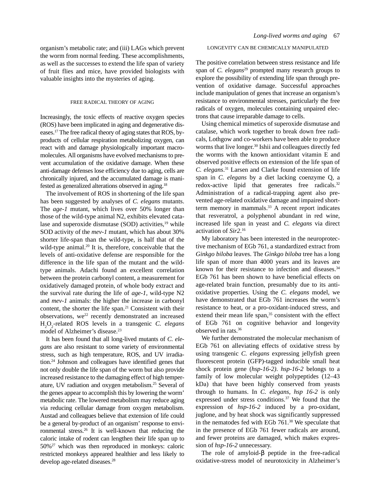organism's metabolic rate; and (iii) LAGs which prevent the worm from normal feeding. These accomplishments, as well as the successes to extend the life span of variety of fruit flies and mice, have provided biologists with valuable insights into the mysteries of aging.

# FREE RADICAL THEORY OF AGING

Increasingly, the toxic effects of reactive oxygen species (ROS) have been implicated in aging and degenerative diseases.<sup>17</sup> The free radical theory of aging states that ROS, byproducts of cellular respiration metabolizing oxygen, can react with and damage physiologically important macromolecules. All organisms have evolved mechanisms to prevent accumulation of the oxidative damage. When these anti-damage defenses lose efficiency due to aging, cells are chronically injured, and the accumulated damage is manifested as generalized alterations observed in aging.<sup>18</sup>

The involvement of ROS in shortening of the life span has been suggested by analyses of C. elegans mutants. The *age-1* mutant, which lives over 50% longer than those of the wild-type animal N2, exhibits elevated catalase and superoxide dismutase (SOD) activities,<sup>19</sup> while SOD activity of the mev-1 mutant, which has about 30% shorter life-span than the wild-type, is half that of the wild-type animal.<sup>20</sup> It is, therefore, conceivable that the levels of anti-oxidative defense are responsible for the difference in the life span of the mutant and the wildtype animals. Adachi found an excellent correlation between the protein carbonyl content, a measurement for oxidatively damaged protein, of whole body extract and the survival rate during the life of  $age-1$ , wild-type N2 and *mev-1* animals: the higher the increase in carbonyl content, the shorter the life span.<sup>21</sup> Consistent with their observations, we<sup>22</sup> recently demonstrated an increased H<sub>2</sub>O<sub>2</sub>-related ROS levels in a transgenic C. elegans model of Alzheimer's disease.<sup>23</sup>

It has been found that all long-lived mutants of C. elegans are also resistant to some variety of environmental stress, such as high temperature, ROS, and UV irradiation.<sup>24</sup> Johnson and colleagues have identified genes that not only double the life span of the worm but also provide increased resistance to the damaging effect of high temperature, UV radiation and oxygen metabolism.<sup>25</sup> Several of the genes appear to accomplish this by lowering the worm' metabolic rate. The lowered metabolism may reduce aging via reducing cellular damage from oxygen metabolism. Austad and colleagues believe that extension of life could be a general by-product of an organism' response to environmental stress.<sup>26</sup> It is well-known that reducing the caloric intake of rodent can lengthen their life span up to  $50\%$ <sup>27</sup> which was then reproduced in monkeys: caloric restricted monkeys appeared healthier and less likely to develop age-related diseases.<sup>28</sup>

# LONGEVITY CAN BE CHEMICALLY MANIPULATED

The positive correlation between stress resistance and life span of C. elegans<sup>29</sup> prompted many research groups to explore the possibility of extending life span through prevention of oxidative damage. Successful approaches include manipulation of genes that increase an organism's resistance to environmental stresses, particularly the free radicals of oxygen, molecules containing unpaired electrons that cause irreparable damage to cells.

Using chemical mimetics of superoxide dismutase and catalase, which work together to break down free radicals, Lothgow and co-workers have been able to produce worms that live longer.<sup>30</sup> Ishii and colleagues directly fed the worms with the known antioxidant vitamin E and observed positive effects on extension of the life span of C. elegans.<sup>31</sup> Larsen and Clarke found extension of life span in C. elegans by a diet lacking coenzyme Q, a redox-active lipid that generates free radicals.<sup>32</sup> Administration of a radical-trapping agent also prevented age-related oxidative damage and impaired shortterm memory in mammals.<sup>33</sup> A recent report indicates that resveratrol, a polyphenol abundant in red wine, increased life span in yeast and C. elegans via direct activation of  $Sir2.^{16}$ 

My laboratory has been interested in the neuroprotective mechanism of EGb 761, a standardized extract from Ginkgo biloba leaves. The Ginkgo biloba tree has a long life span of more than 4000 years and its leaves are known for their resistance to infection and diseases.<sup>34</sup> EGb 761 has been shown to have beneficial effects on age-related brain function, presumably due to its antioxidative properties. Using the C. elegans model, we have demonstrated that EGb 761 increases the worm's resistance to heat, or a pro-oxidant-induced stress, and extend their mean life span,<sup>35</sup> consistent with the effect of EGb 761 on cognitive behavior and longevity observed in rats.<sup>36</sup>

We further demonstrated the molecular mechanism of EGb 761 on alleviating effects of oxidative stress by using transgenic C. elegans expressing jellyfish green fluorescent protein (GFP)-tagged inducible small heat shock protein gene ( $hsp-16-2$ ).  $hsp-16-2$  belongs to a family of low molecular weight polypeptides (12-43 kDa) that have been highly conserved from yeasts through to humans. In C. elegans, hsp  $16-2$  is only expressed under stress conditions.<sup>37</sup> We found that the expression of  $hsp-16-2$  induced by a pro-oxidant, juglone, and by heat shock was significantly suppressed in the nematodes fed with EGb 761.<sup>38</sup> We speculate that in the presence of EGb 761 fewer radicals are around, and fewer proteins are damaged, which makes expression of hsp-16-2 unnecessary.

The role of amyloid- $\beta$  peptide in the free-radical oxidative-stress model of neurotoxicity in Alzheimer's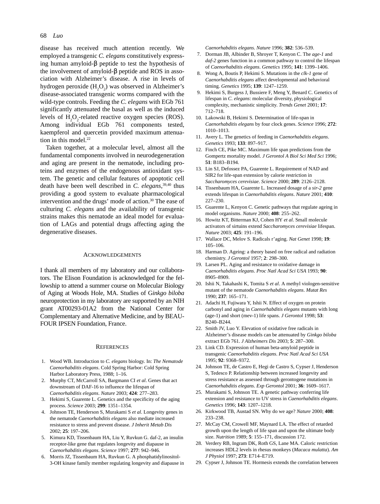#### 68 Luo

disease has received much attention recently. We employed a transgenic C. elegans constitutively expressing human amyloid- $\beta$  peptide to test the hypothesis of the involvement of amyloid- $\beta$  peptide and ROS in association with Alzheimer's disease. A rise in levels of hydrogen peroxide (H<sub>2</sub>O<sub>2</sub>) was observed in Alzheimer's disease-associated transgenic worms compared with the wild-type controls. Feeding the C. elegans with EGb 761 significantly attenuated the basal as well as the induced levels of  $H<sub>2</sub>O<sub>2</sub>$ -related reactive oxygen species (ROS). Among individual EGb 761 components tested, kaempferol and quercetin provided maximum attenuation in this model.<sup>22</sup>

Taken together, at a molecular level, almost all the fundamental components involved in neurodegeneration and aging are present in the nematode, including proteins and enzymes of the endogenous antioxidant system. The genetic and cellular features of apoptotic cell death have been well described in C. elegans,  $39,40$  thus providing a good system to evaluate pharmacological intervention and the drugs' mode of action.<sup>30</sup> The ease of culturing C. elegans and the availability of transgenic strains makes this nematode an ideal model for evaluation of LAGs and potential drugs affecting aging the degenerative diseases.

# **ACKNOWLEDGEMENTS**

I thank all members of my laboratory and our collaborators. The Elison Foundation is acknowledged for the fellowship to attend a summer course on Molecular Biology of Aging at Woods Hole, MA. Studies of Ginkgo biloba neuroprotection in my laboratory are supported by an NIH grant AT00293-01A2 from the National Center for Complementary and Alternative Medicine, and by BEAU-FOUR IPSEN Foundation, France.

## **REFERENCES**

- 1. Wood WB. Introduction to C. elegans biology. In: The Nematode Caenorhabditis elegans. Cold Spring Harbor: Cold Spring Harbor Laboratory Press, 1988; 1-16.
- 2. Murphy CT, McCarroll SA, Bargmann CI et al. Genes that act downstream of DAF-16 to influence the lifespan of Caenorhabditis elegans. Nature 2003; 424: 277-283.
- 3. Hekimi S, Guarente L. Genetics and the specificity of the aging process. Science 2003; 299: 1351-1354.
- 4. Johnson TE, Henderson S, Murakami S et al. Longevity genes in the nematode Caenorhabditis elegans also mediate increased resistance to stress and prevent disease. J Inherit Metab Dis 2002; 25: 197-206.
- 5. Kimura KD, Tissenbaum HA, Liu Y, Ruvkun G. daf-2, an insulin receptor-like gene that regulates longevity and diapause in Caenorhabditis elegans. Science 1997; 277: 942-946.
- 6. Morris JZ, Tissenbaum HA, Ruvkun G. A phosphatidylinositol-3-OH kinase family member regulating longevity and diapause in

Caenorhabditis elegans. Nature 1996; 382: 536-539.

- 7. Dorman JB, Albinder B, Shroyer T, Kenyon C. The age-1 and daf-2 genes function in a common pathway to control the lifespan of Caenorhabditis elegans. Genetics 1995; 141: 1399-1406.
- 8. Wong A, Boutis P, Hekimi S. Mutations in the clk-1 gene of Caenorhabditis elegans affect developmental and behavioral timing. Genetics 1995; 139: 1247-1259.
- 9. Hekimi S, Burgess J, Bussiere F, Meng Y, Benard C. Genetics of lifespan in C. elegans: molecular diversity, physiological complexity, mechanistic simplicity. Trends Genet 2001; 17: 712-718.
- 10. Lakowski B, Hekimi S. Determination of life-span in Caenorhabditis elegans by four clock genes. Science 1996; 272: 1010-1013.
- 11. Avery L. The genetics of feeding in Caenorhabditis elegans. Genetics 1993; 133: 897-917.
- 12. Finch CE, Pike MC. Maximum life span predictions from the Gompertz mortality model. J Gerontol A Biol Sci Med Sci 1996; 51: B183-B194.
- 13. Lin SJ, Defossez PA, Guarente L. Requirement of NAD and SIR2 for life-span extension by calorie restriction in Saccharomyces cerevisiae. Science 2000; 289: 2126-2128.
- 14. Tissenbaum HA, Guarente L. Increased dosage of a sir-2 gene extends lifespan in Caenorhabditis elegans. Nature 2001; 410:  $227 - 230.$
- 15. Guarente L, Kenyon C. Genetic pathways that regulate ageing in model organisms. Nature 2000; 408: 255-262.
- 16. Howitz KT, Bitterman KJ, Cohen HY et al. Small molecule activators of sirtuins extend Saccharomyces cerevisiae lifespan. Nature 2003; 425: 191-196.
- 17. Wallace DC, Melov S. Radicals r'aging. Nat Genet 1998; 19:  $105 - 106$ .
- 18. Harman D. Ageing: a theory based on free radical and radiation chemistry. J Gerontol 1957; 2: 298-300.
- 19. Larsen PL. Aging and resistance to oxidative damage in Caenorhabditis elegans. Proc Natl Acad Sci USA 1993; 90: 8905-8909.
- 20. Ishii N, Takahashi K, Tomita S et al. A methyl viologen-sensitive mutant of the nematode Caenorhabditis elegans. Mutat Res 1990; 237: 165-171.
- 21. Adachi H, Fujiwara Y, Ishii N. Effect of oxygen on protein carbonyl and aging in Caenorhabditis elegans mutants with long (age-1) and short (mev-1) life spans. J Gerontol 1998; 53: B240-B244.
- 22. Smith JV, Luo Y. Elevation of oxidative free radicals in Alzheimer's disease models can be attenuated by Ginkgo biloba extract EGb 761. J Alzheimers Dis 2003; 5: 287-300.
- 23. Link CD. Expression of human beta-amyloid peptide in transgenic Caenorhabditis elegans. Proc Natl Acad Sci USA 1995; 92: 9368-9372.
- 24. Johnson TE, de Castro E, Hegi de Castro S, Cypser J, Henderson S, Tedesco P. Relationship between increased longevity and stress resistance as assessed through gerontogene mutations in Caenorhabditis elegans. Exp Gerontol 2001; 36: 1609-1617.
- 25. Murakami S, Johnson TE. A genetic pathway conferring life extension and resistance to UV stress in *Caenorhabditis elegans*. Genetics 1996; 143: 1207-1218.
- 26. Kirkwood TB, Austad SN. Why do we age? Nature 2000; 408: 233-238
- 27. McCay CM, Crowell MF, Maynard LA. The effect of retarded growth upon the length of life span and upon the ultimate body size. Nutrition 1989; 5: 155-171, discussion 172.
- 28. Verdery RB, Ingram DK, Roth GS, Lane MA. Caloric restriction increases HDL2 levels in rhesus monkeys (Macaca mulatta). Am J Physiol 1997; 273: E714-E719.
- 29. Cypser J, Johnson TE. Hormesis extends the correlation between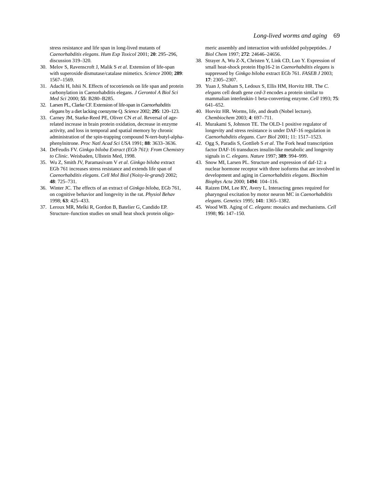stress resistance and life span in long-lived mutants of Caenorhabditis elegans. Hum Exp Toxicol 2001; 20: 295-296, discussion 319-320.

- 30. Melov S, Ravenscroft J, Malik S et al. Extension of life-span with superoxide dismutase/catalase mimetics. Science 2000; 289: 1567-1569.
- 31. Adachi H, Ishii N. Effects of tocotrienols on life span and protein carbonylation in Caenorhabditis elegans. J Gerontol A Biol Sci Med Sci 2000; 55: B280-B285.
- 32. Larsen PL, Clarke CF. Extension of life-span in Caenorhabditis elegans by a diet lacking coenzyme Q. Science 2002; 295: 120-123.
- 33. Carney JM, Starke-Reed PE, Oliver CN et al. Reversal of agerelated increase in brain protein oxidation, decrease in enzyme activity, and loss in temporal and spatial memory by chronic administration of the spin-trapping compound N-tert-butyl-alphaphenylnitrone. Proc Natl Acad Sci USA 1991; 88: 3633-3636.
- 34. DeFeudis FV. Ginkgo biloba Extract (EGb 761): From Chemistry to Clinic. Weisbaden, Ullstein Med, 1998.
- 35. Wu Z, Smith JV, Paramasivam V et al. Ginkgo biloba extract EGb 761 increases stress resistance and extends life span of Caenorhabditis elegans. Cell Mol Biol (Noisy-le-grand) 2002; 48:  $725 - 731$ .
- 36. Winter JC. The effects of an extract of Ginkgo biloba, EGb 761, on cognitive behavior and longevity in the rat. Physiol Behav 1998: 63: 425-433.
- 37. Leroux MR, Melki R, Gordon B, Batelier G, Candido EP. Structure-function studies on small heat shock protein oligo-

meric assembly and interaction with unfolded polypeptides. J Biol Chem 1997; 272: 24646-24656.

- 38. Strayer A, Wu Z-X, Christen Y, Link CD, Luo Y. Expression of small heat-shock protein Hsp16-2 in Caenorhabditis elegans is suppressed by Ginkgo biloba extract EGb 761. FASEB J 2003; 17: 2305-2307.
- 39. Yuan J, Shaham S, Ledoux S, Ellis HM, Horvitz HR. The C. elegans cell death gene ced-3 encodes a protein similar to mammalian interleukin-1 beta-converting enzyme. Cell 1993; 75:  $641 - 652.$
- 40. Horvitz HR. Worms, life, and death (Nobel lecture). Chembiochem 2003; 4: 697-711.
- 41. Murakami S, Johnson TE. The OLD-1 positive regulator of longevity and stress resistance is under DAF-16 regulation in Caenorhabditis elegans. Curr Biol 2001; 11: 1517-1523.
- 42. Ogg S, Paradis S, Gottlieb S et al. The Fork head transcription factor DAF-16 transduces insulin-like metabolic and longevity signals in C. elegans. Nature 1997; 389: 994-999.
- 43. Snow MI, Larsen PL. Structure and expression of daf-12: a nuclear hormone receptor with three isoforms that are involved in development and aging in Caenorhabditis elegans. Biochim Biophys Acta 2000; 1494: 104-116.
- 44. Raizen DM, Lee RY, Avery L. Interacting genes required for pharyngeal excitation by motor neuron MC in Caenorhabditis elegans. Genetics 1995; 141: 1365-1382.
- 45. Wood WB. Aging of C. elegans: mosaics and mechanisms. Cell 1998; 95: 147-150.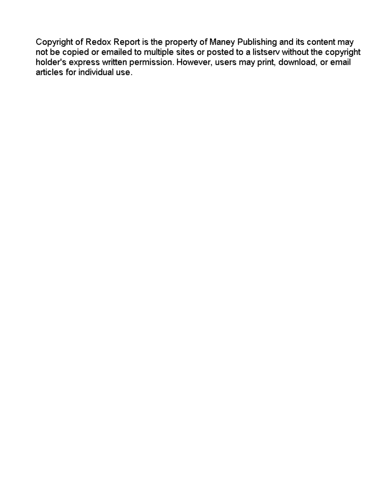Copyright of Redox Report is the property of Maney Publishing and its content may not be copied or emailed to multiple sites or posted to a listserv without the copyright holder's express written permission. However, users may print, download, or email articles for individual use.